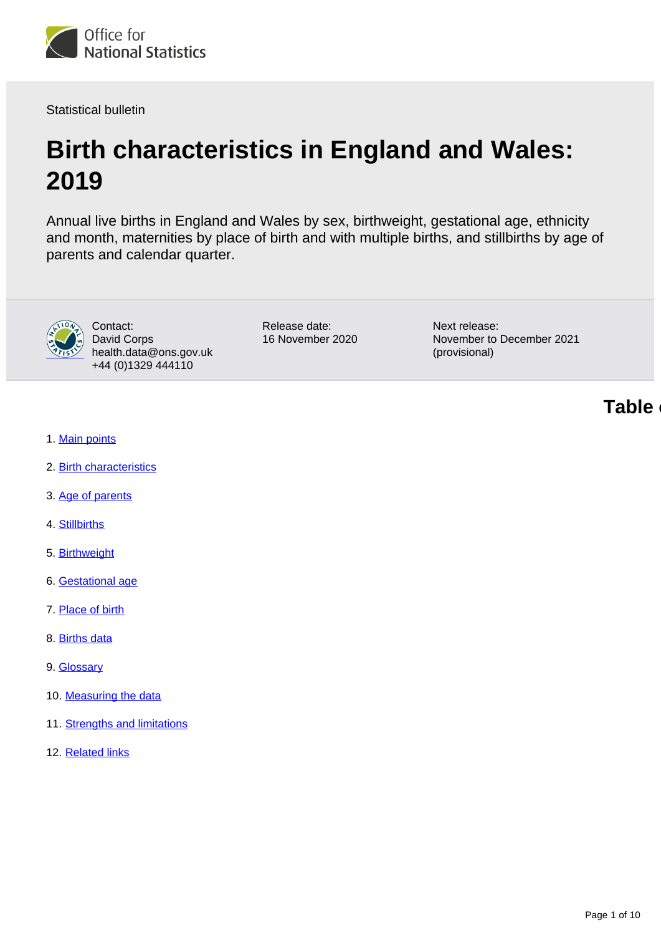

Statistical bulletin

# **Birth characteristics in England and Wales: 2019**

Annual live births in England and Wales by sex, birthweight, gestational age, ethnicity and month, maternities by place of birth and with multiple births, and stillbirths by age of parents and calendar quarter.



Contact: David Corps health.data@ons.gov.uk +44 (0)1329 444110

Release date: 16 November 2020 Next release: November to December 2021 (provisional)

**Table of contents**

- 1. [Main points](#page-1-0)
- 2. [Birth characteristics](#page-1-1)
- 3. [Age of parents](#page-2-0)
- 4. [Stillbirths](#page-3-0)
- 5. [Birthweight](#page-4-0)
- 6. [Gestational age](#page-4-1)
- 7. [Place of birth](#page-5-0)
- 8. [Births data](#page-7-0)
- 9. [Glossary](#page-7-1)
- 10. [Measuring the data](#page-8-0)
- 11. [Strengths and limitations](#page-8-1)
- 12. [Related links](#page-9-0)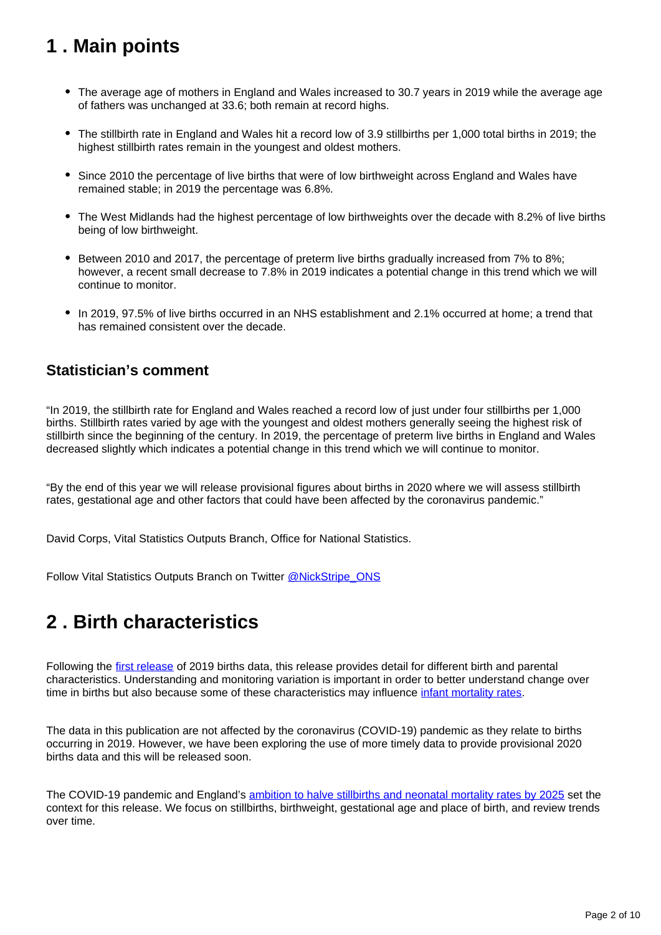## <span id="page-1-0"></span>**1 . Main points**

- The average age of mothers in England and Wales increased to 30.7 years in 2019 while the average age of fathers was unchanged at 33.6; both remain at record highs.
- The stillbirth rate in England and Wales hit a record low of 3.9 stillbirths per 1,000 total births in 2019; the highest stillbirth rates remain in the youngest and oldest mothers.
- Since 2010 the percentage of live births that were of low birthweight across England and Wales have remained stable; in 2019 the percentage was 6.8%.
- The West Midlands had the highest percentage of low birthweights over the decade with 8.2% of live births being of low birthweight.
- Between 2010 and 2017, the percentage of preterm live births gradually increased from 7% to 8%; however, a recent small decrease to 7.8% in 2019 indicates a potential change in this trend which we will continue to monitor.
- In 2019, 97.5% of live births occurred in an NHS establishment and 2.1% occurred at home; a trend that has remained consistent over the decade.

### **Statistician's comment**

"In 2019, the stillbirth rate for England and Wales reached a record low of just under four stillbirths per 1,000 births. Stillbirth rates varied by age with the youngest and oldest mothers generally seeing the highest risk of stillbirth since the beginning of the century. In 2019, the percentage of preterm live births in England and Wales decreased slightly which indicates a potential change in this trend which we will continue to monitor.

"By the end of this year we will release provisional figures about births in 2020 where we will assess stillbirth rates, gestational age and other factors that could have been affected by the coronavirus pandemic."

David Corps, Vital Statistics Outputs Branch, Office for National Statistics.

Follow Vital Statistics Outputs Branch on Twitter [@NickStripe\\_ONS](https://twitter.com/NickStripe_ONS)

## <span id="page-1-1"></span>**2 . Birth characteristics**

Following the [first release](https://www.ons.gov.uk/peoplepopulationandcommunity/birthsdeathsandmarriages/livebirths/bulletins/birthsummarytablesenglandandwales/2019) of 2019 births data, this release provides detail for different birth and parental characteristics. Understanding and monitoring variation is important in order to better understand change over time in births but also because some of these characteristics may influence [infant mortality rates](https://blog.ons.gov.uk/2020/02/20/explaining-trends-in-baby-loss-in-england-and-wales/).

The data in this publication are not affected by the coronavirus (COVID-19) pandemic as they relate to births occurring in 2019. However, we have been exploring the use of more timely data to provide provisional 2020 births data and this will be released soon.

The COVID-19 pandemic and England's [ambition to halve stillbirths and neonatal mortality rates by 2025](https://www.england.nhs.uk/mat-transformation/saving-babies/) set the context for this release. We focus on stillbirths, birthweight, gestational age and place of birth, and review trends over time.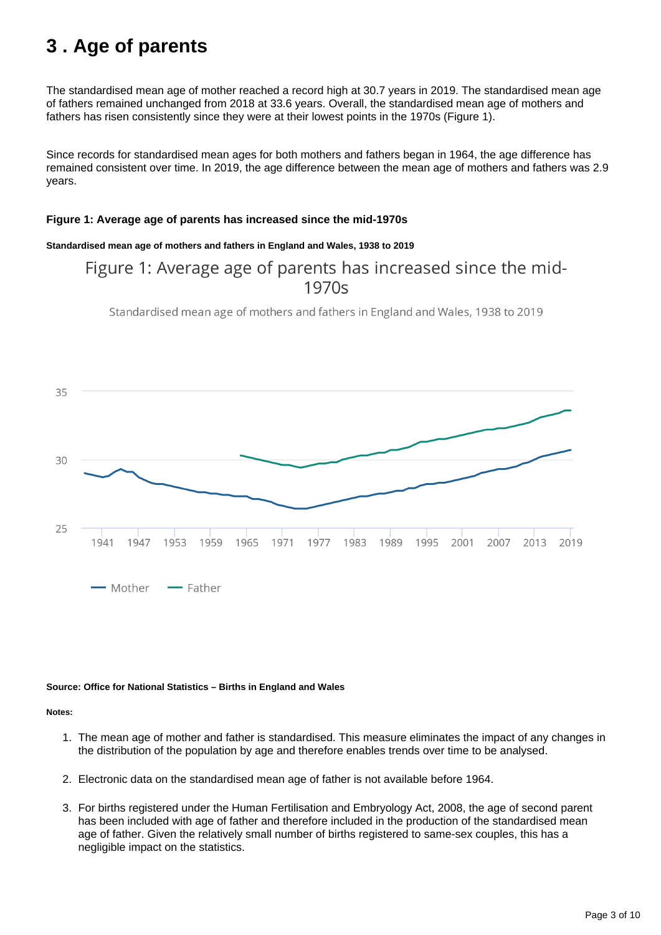## <span id="page-2-0"></span>**3 . Age of parents**

The standardised mean age of mother reached a record high at 30.7 years in 2019. The standardised mean age of fathers remained unchanged from 2018 at 33.6 years. Overall, the standardised mean age of mothers and fathers has risen consistently since they were at their lowest points in the 1970s (Figure 1).

Since records for standardised mean ages for both mothers and fathers began in 1964, the age difference has remained consistent over time. In 2019, the age difference between the mean age of mothers and fathers was 2.9 years.

### **Figure 1: Average age of parents has increased since the mid-1970s**

### **Standardised mean age of mothers and fathers in England and Wales, 1938 to 2019**

### Figure 1: Average age of parents has increased since the mid- $1970s$

Standardised mean age of mothers and fathers in England and Wales, 1938 to 2019



#### **Source: Office for National Statistics – Births in England and Wales**

**Notes:**

- 1. The mean age of mother and father is standardised. This measure eliminates the impact of any changes in the distribution of the population by age and therefore enables trends over time to be analysed.
- 2. Electronic data on the standardised mean age of father is not available before 1964.
- 3. For births registered under the Human Fertilisation and Embryology Act, 2008, the age of second parent has been included with age of father and therefore included in the production of the standardised mean age of father. Given the relatively small number of births registered to same-sex couples, this has a negligible impact on the statistics.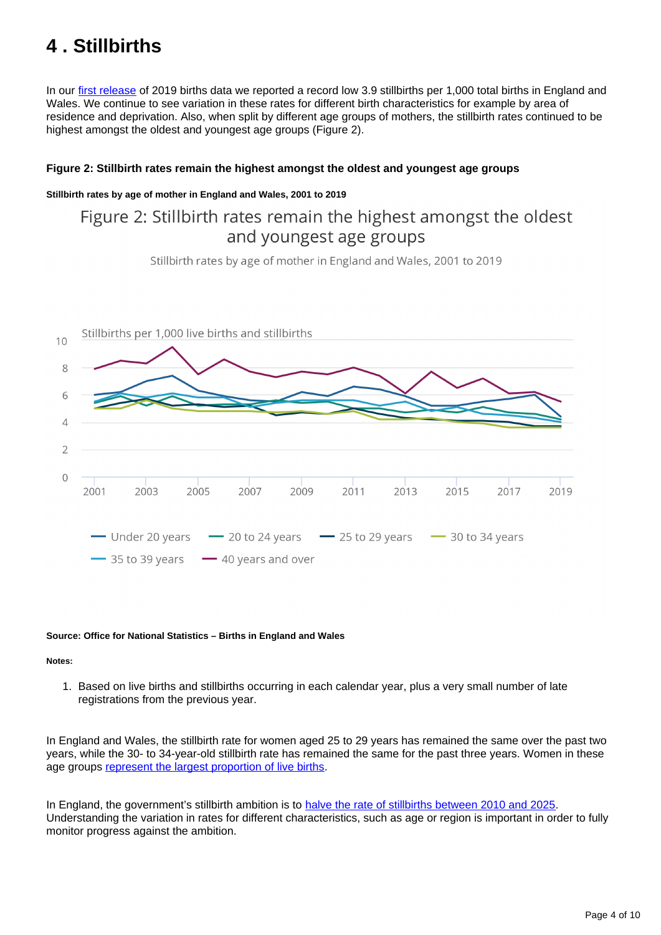## <span id="page-3-0"></span>**4 . Stillbirths**

In our [first release](https://www.ons.gov.uk/peoplepopulationandcommunity/birthsdeathsandmarriages/livebirths/bulletins/birthsummarytablesenglandandwales/2019#stillbirths) of 2019 births data we reported a record low 3.9 stillbirths per 1,000 total births in England and Wales. We continue to see variation in these rates for different birth characteristics for example by area of residence and deprivation. Also, when split by different age groups of mothers, the stillbirth rates continued to be highest amongst the oldest and youngest age groups (Figure 2).

### **Figure 2: Stillbirth rates remain the highest amongst the oldest and youngest age groups**

### **Stillbirth rates by age of mother in England and Wales, 2001 to 2019**

### Figure 2: Stillbirth rates remain the highest amongst the oldest and youngest age groups

Stillbirth rates by age of mother in England and Wales, 2001 to 2019



#### **Source: Office for National Statistics – Births in England and Wales**

#### **Notes:**

1. Based on live births and stillbirths occurring in each calendar year, plus a very small number of late registrations from the previous year.

In England and Wales, the stillbirth rate for women aged 25 to 29 years has remained the same over the past two years, while the 30- to 34-year-old stillbirth rate has remained the same for the past three years. Women in these age groups [represent the largest proportion of live births](https://www.ons.gov.uk/peoplepopulationandcommunity/birthsdeathsandmarriages/livebirths/bulletins/birthsummarytablesenglandandwales/2019#fertility-rates-by-age-of-mother).

In England, the government's stillbirth ambition is to [halve the rate of stillbirths between 2010 and 2025](https://www.england.nhs.uk/mat-transformation/saving-babies/). Understanding the variation in rates for different characteristics, such as age or region is important in order to fully monitor progress against the ambition.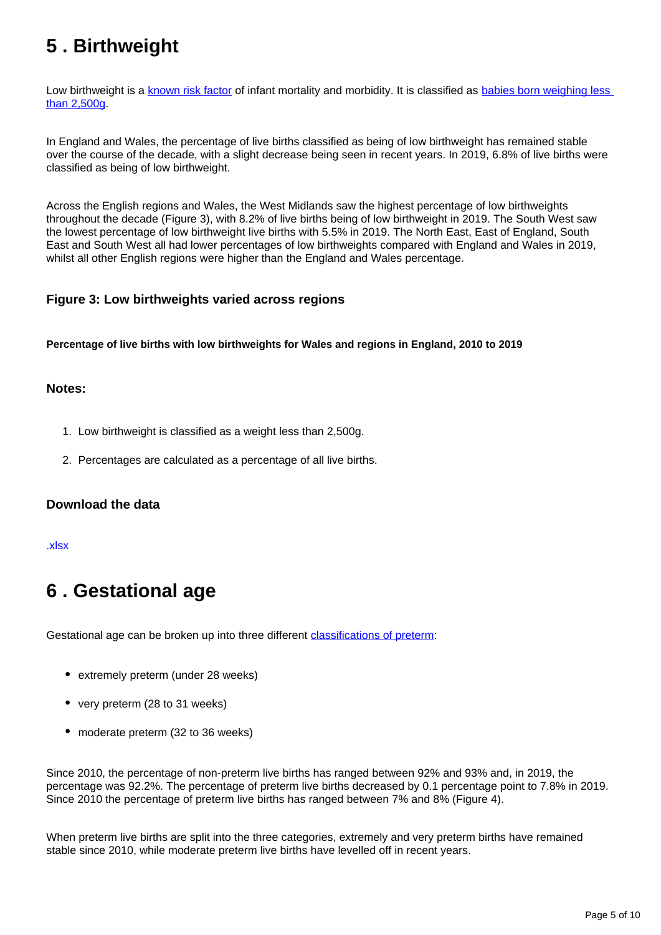## <span id="page-4-0"></span>**5 . Birthweight**

Low birthweight is a [known risk factor](https://www.nuffieldtrust.org.uk/resource/low-birth-weight) of infant mortality and morbidity. It is classified as babies born weighing less [than 2,500g](https://digital.nhs.uk/data-and-information/national-indicator-library/low-birth-weight-term-babies).

In England and Wales, the percentage of live births classified as being of low birthweight has remained stable over the course of the decade, with a slight decrease being seen in recent years. In 2019, 6.8% of live births were classified as being of low birthweight.

Across the English regions and Wales, the West Midlands saw the highest percentage of low birthweights throughout the decade (Figure 3), with 8.2% of live births being of low birthweight in 2019. The South West saw the lowest percentage of low birthweight live births with 5.5% in 2019. The North East, East of England, South East and South West all had lower percentages of low birthweights compared with England and Wales in 2019, whilst all other English regions were higher than the England and Wales percentage.

### **Figure 3: Low birthweights varied across regions**

**Percentage of live births with low birthweights for Wales and regions in England, 2010 to 2019**

### **Notes:**

- 1. Low birthweight is classified as a weight less than 2,500g.
- 2. Percentages are calculated as a percentage of all live births.

### **Download the data**

#### [.xlsx](https://www.ons.gov.uk/visualisations/dvc1048/fig3/datadownload.xlsx)

## <span id="page-4-1"></span>**6 . Gestational age**

Gestational age can be broken up into three different [classifications of preterm](https://www.who.int/news-room/fact-sheets/detail/preterm-birth):

- extremely preterm (under 28 weeks)
- very preterm (28 to 31 weeks)
- moderate preterm (32 to 36 weeks)

Since 2010, the percentage of non-preterm live births has ranged between 92% and 93% and, in 2019, the percentage was 92.2%. The percentage of preterm live births decreased by 0.1 percentage point to 7.8% in 2019. Since 2010 the percentage of preterm live births has ranged between 7% and 8% (Figure 4).

When preterm live births are split into the three categories, extremely and very preterm births have remained stable since 2010, while moderate preterm live births have levelled off in recent years.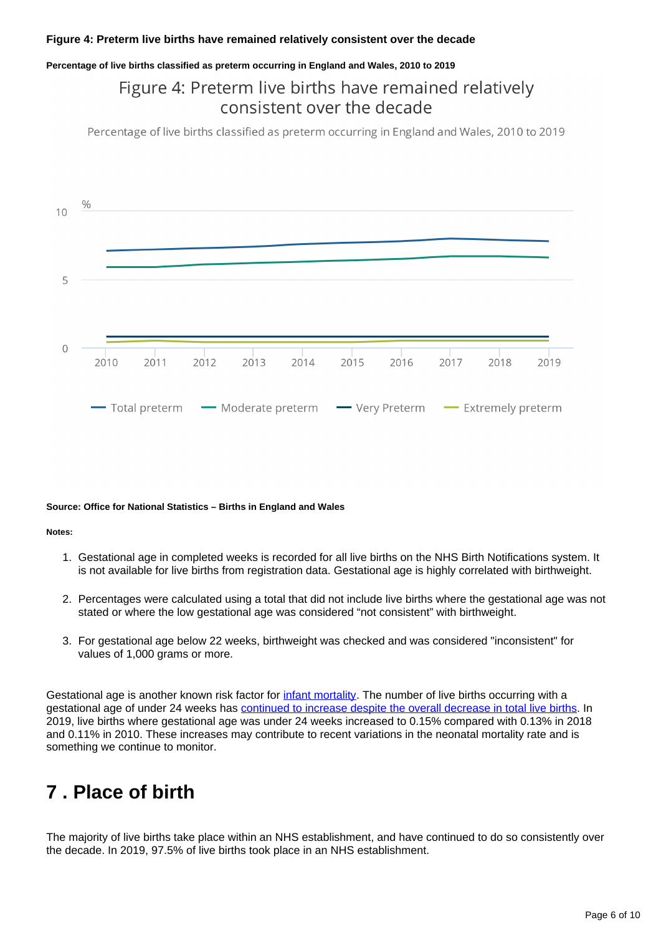### **Figure 4: Preterm live births have remained relatively consistent over the decade**

#### **Percentage of live births classified as preterm occurring in England and Wales, 2010 to 2019**

### Figure 4: Preterm live births have remained relatively consistent over the decade

Percentage of live births classified as preterm occurring in England and Wales, 2010 to 2019



#### **Source: Office for National Statistics – Births in England and Wales**

#### **Notes:**

- 1. Gestational age in completed weeks is recorded for all live births on the NHS Birth Notifications system. It is not available for live births from registration data. Gestational age is highly correlated with birthweight.
- 2. Percentages were calculated using a total that did not include live births where the gestational age was not stated or where the low gestational age was considered "not consistent" with birthweight.
- 3. For gestational age below 22 weeks, birthweight was checked and was considered "inconsistent" for values of 1,000 grams or more.

Gestational age is another known risk factor for [infant mortality](https://www.ons.gov.uk/peoplepopulationandcommunity/birthsdeathsandmarriages/deaths/bulletins/childhoodinfantandperinatalmortalityinenglandandwales/2018). The number of live births occurring with a gestational age of under 24 weeks has [continued to increase despite the overall decrease in total live births.](https://blog.ons.gov.uk/2020/02/20/explaining-trends-in-baby-loss-in-england-and-wales/) In 2019, live births where gestational age was under 24 weeks increased to 0.15% compared with 0.13% in 2018 and 0.11% in 2010. These increases may contribute to recent variations in the neonatal mortality rate and is something we continue to monitor.

## <span id="page-5-0"></span>**7 . Place of birth**

The majority of live births take place within an NHS establishment, and have continued to do so consistently over the decade. In 2019, 97.5% of live births took place in an NHS establishment.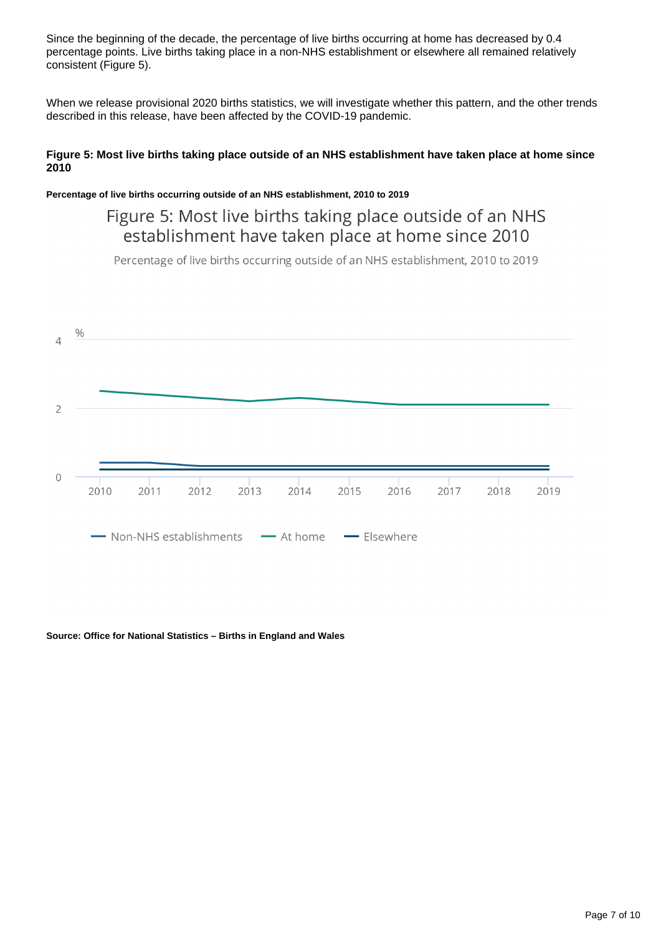Since the beginning of the decade, the percentage of live births occurring at home has decreased by 0.4 percentage points. Live births taking place in a non-NHS establishment or elsewhere all remained relatively consistent (Figure 5).

When we release provisional 2020 births statistics, we will investigate whether this pattern, and the other trends described in this release, have been affected by the COVID-19 pandemic.

### **Figure 5: Most live births taking place outside of an NHS establishment have taken place at home since 2010**

### **Percentage of live births occurring outside of an NHS establishment, 2010 to 2019**

Figure 5: Most live births taking place outside of an NHS establishment have taken place at home since 2010

Percentage of live births occurring outside of an NHS establishment, 2010 to 2019



#### **Source: Office for National Statistics – Births in England and Wales**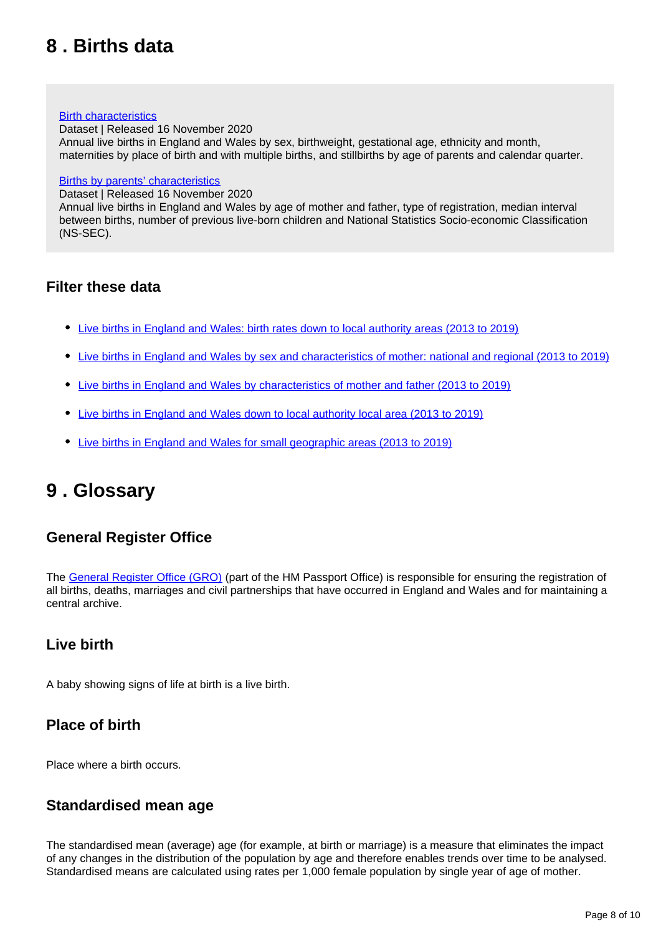## <span id="page-7-0"></span>**8 . Births data**

#### **[Birth characteristics](https://www.ons.gov.uk/peoplepopulationandcommunity/birthsdeathsandmarriages/livebirths/datasets/birthcharacteristicsinenglandandwales)**

Dataset | Released 16 November 2020 Annual live births in England and Wales by sex, birthweight, gestational age, ethnicity and month, maternities by place of birth and with multiple births, and stillbirths by age of parents and calendar quarter.

#### [Births by parents' characteristics](https://www.ons.gov.uk/peoplepopulationandcommunity/birthsdeathsandmarriages/livebirths/datasets/birthsbyparentscharacteristics)

Dataset | Released 16 November 2020

Annual live births in England and Wales by age of mother and father, type of registration, median interval between births, number of previous live-born children and National Statistics Socio-economic Classification (NS-SEC).

### **Filter these data**

- [Live births in England and Wales: birth rates down to local authority areas \(2013 to 2019\)](https://www.nomisweb.co.uk/query/construct/summary.asp?mode=construct&version=0&dataset=207)
- [Live births in England and Wales by sex and characteristics of mother: national and regional \(2013 to 2019\)](https://www.nomisweb.co.uk/query/construct/summary.asp?mode=construct&version=0&dataset=203)
- [Live births in England and Wales by characteristics of mother and father \(2013 to 2019\)](https://www.nomisweb.co.uk/query/construct/summary.asp?mode=construct&version=0&dataset=204)
- [Live births in England and Wales down to local authority local area \(2013 to 2019\)](https://www.nomisweb.co.uk/query/construct/summary.asp?mode=construct&version=0&dataset=205)
- [Live births in England and Wales for small geographic areas \(2013 to 2019\)](https://www.nomisweb.co.uk/query/construct/summary.asp?mode=construct&version=0&dataset=206)

## <span id="page-7-1"></span>**9 . Glossary**

### **General Register Office**

The [General Register Office \(GRO\)](https://www.gov.uk/general-register-office) (part of the HM Passport Office) is responsible for ensuring the registration of all births, deaths, marriages and civil partnerships that have occurred in England and Wales and for maintaining a central archive.

### **Live birth**

A baby showing signs of life at birth is a live birth.

### **Place of birth**

Place where a birth occurs.

### **Standardised mean age**

The standardised mean (average) age (for example, at birth or marriage) is a measure that eliminates the impact of any changes in the distribution of the population by age and therefore enables trends over time to be analysed. Standardised means are calculated using rates per 1,000 female population by single year of age of mother.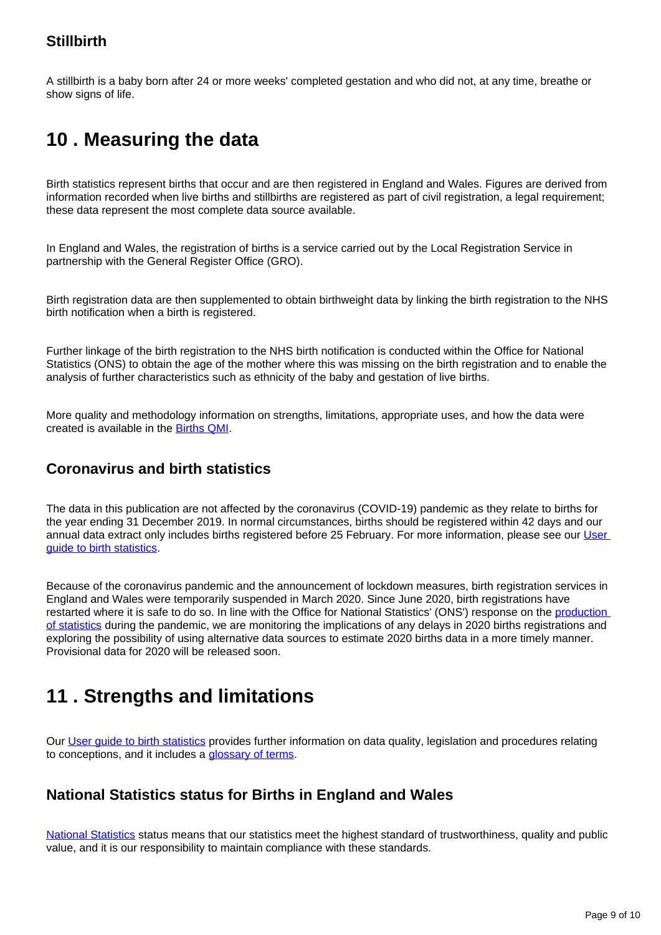### **Stillbirth**

A stillbirth is a baby born after 24 or more weeks' completed gestation and who did not, at any time, breathe or show signs of life.

## <span id="page-8-0"></span>**10 . Measuring the data**

Birth statistics represent births that occur and are then registered in England and Wales. Figures are derived from information recorded when live births and stillbirths are registered as part of civil registration, a legal requirement; these data represent the most complete data source available.

In England and Wales, the registration of births is a service carried out by the Local Registration Service in partnership with the General Register Office (GRO).

Birth registration data are then supplemented to obtain birthweight data by linking the birth registration to the NHS birth notification when a birth is registered.

Further linkage of the birth registration to the NHS birth notification is conducted within the Office for National Statistics (ONS) to obtain the age of the mother where this was missing on the birth registration and to enable the analysis of further characteristics such as ethnicity of the baby and gestation of live births.

More quality and methodology information on strengths, limitations, appropriate uses, and how the data were created is available in the [Births QMI](https://www.ons.gov.uk/peoplepopulationandcommunity/birthsdeathsandmarriages/livebirths/methodologies/birthsqmi).

### **Coronavirus and birth statistics**

The data in this publication are not affected by the coronavirus (COVID-19) pandemic as they relate to births for the year ending 31 December 2019. In normal circumstances, births should be registered within 42 days and our annual data extract only includes births registered before 25 February. For more information, please see our User [guide to birth statistics.](https://www.ons.gov.uk/peoplepopulationandcommunity/birthsdeathsandmarriages/livebirths/methodologies/userguidetobirthstatistics)

Because of the coronavirus pandemic and the announcement of lockdown measures, birth registration services in England and Wales were temporarily suspended in March 2020. Since June 2020, birth registrations have restarted where it is safe to do so. In line with the Office for National Statistics' (ONS') response on the production [of statistics](https://www.ons.gov.uk/news/statementsandletters/covid19andtheproductionofstatistics) during the pandemic, we are monitoring the implications of any delays in 2020 births registrations and exploring the possibility of using alternative data sources to estimate 2020 births data in a more timely manner. Provisional data for 2020 will be released soon.

## <span id="page-8-1"></span>**11 . Strengths and limitations**

Our [User guide to birth statistics](https://www.ons.gov.uk/peoplepopulationandcommunity/birthsdeathsandmarriages/livebirths/methodologies/userguidetobirthstatistics) provides further information on data quality, legislation and procedures relating to conceptions, and it includes a [glossary of terms.](https://www.ons.gov.uk/peoplepopulationandcommunity/birthsdeathsandmarriages/livebirths/methodologies/userguidetobirthstatistics#glossary)

### **National Statistics status for Births in England and Wales**

[National Statistics](https://osr.statisticsauthority.gov.uk/national-statistics/) status means that our statistics meet the highest standard of trustworthiness, quality and public value, and it is our responsibility to maintain compliance with these standards.